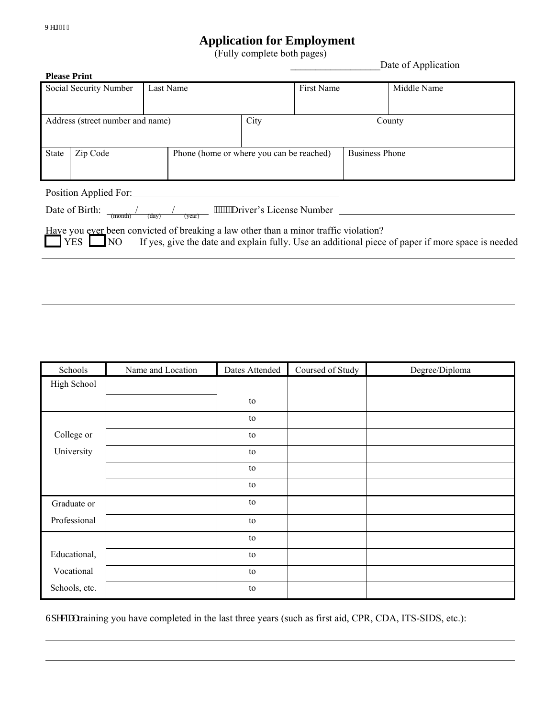## **Application for Employment**<br>(Fully complete both pages) Date of Application

| <b>Please Print</b>                                                                                                                  |          |  |                                          |  |                       |             |  |  |
|--------------------------------------------------------------------------------------------------------------------------------------|----------|--|------------------------------------------|--|-----------------------|-------------|--|--|
| Social Security Number<br>Last Name                                                                                                  |          |  | <b>First Name</b>                        |  |                       | Middle Name |  |  |
|                                                                                                                                      |          |  |                                          |  |                       |             |  |  |
|                                                                                                                                      |          |  |                                          |  |                       |             |  |  |
| Address (street number and name)                                                                                                     |          |  | City                                     |  |                       | County      |  |  |
|                                                                                                                                      |          |  |                                          |  |                       |             |  |  |
|                                                                                                                                      |          |  |                                          |  |                       |             |  |  |
| <b>State</b>                                                                                                                         | Zip Code |  | Phone (home or where you can be reached) |  | <b>Business Phone</b> |             |  |  |
|                                                                                                                                      |          |  |                                          |  |                       |             |  |  |
|                                                                                                                                      |          |  |                                          |  |                       |             |  |  |
|                                                                                                                                      |          |  |                                          |  |                       |             |  |  |
| Position Applied For:                                                                                                                |          |  |                                          |  |                       |             |  |  |
| Date of Birth:<br>"""""Driver's License Number                                                                                       |          |  |                                          |  |                       |             |  |  |
| (month)<br>(dav)<br>(year)                                                                                                           |          |  |                                          |  |                       |             |  |  |
| Have you ever been convicted of breaking a law other than a minor traffic violation?                                                 |          |  |                                          |  |                       |             |  |  |
| YES L<br>$\overline{\text{NO}}$<br>If yes, give the date and explain fully. Use an additional piece of paper if more space is needed |          |  |                                          |  |                       |             |  |  |
|                                                                                                                                      |          |  |                                          |  |                       |             |  |  |
|                                                                                                                                      |          |  |                                          |  |                       |             |  |  |

| Schools       | Name and Location | Dates Attended | Coursed of Study | Degree/Diploma |
|---------------|-------------------|----------------|------------------|----------------|
| High School   |                   |                |                  |                |
|               |                   | ${\rm to}$     |                  |                |
|               |                   | to             |                  |                |
| College or    |                   | to             |                  |                |
| University    |                   | to             |                  |                |
|               |                   | to             |                  |                |
|               |                   | to             |                  |                |
| Graduate or   |                   | to             |                  |                |
| Professional  |                   | to             |                  |                |
|               |                   | to             |                  |                |
| Educational,  |                   | to             |                  |                |
| Vocational    |                   | to             |                  |                |
| Schools, etc. |                   | to             |                  |                |

Ur gekentraining you have completed in the last three years (such as first aid, CPR, CDA, ITS-SIDS, etc.):